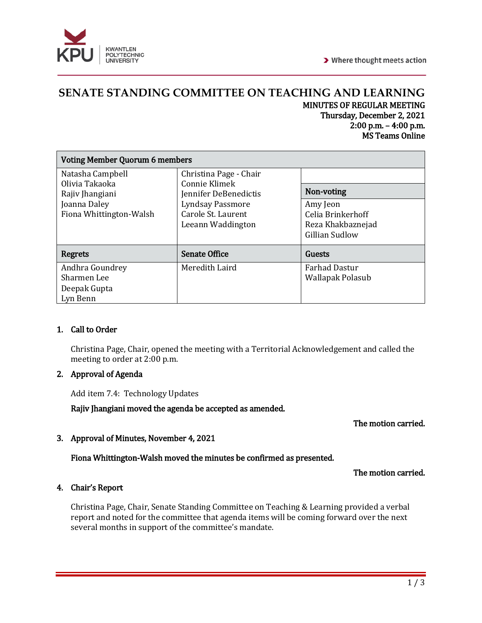

### **SENATE STANDING COMMITTEE ON TEACHING AND LEARNING** MINUTES OF REGULAR MEETING Thursday, December 2, 2021 2:00 p.m. – 4:00 p.m. MS Teams Online

| <b>Voting Member Quorum 6 members</b>                      |                                                                                                                                        |                                                                      |
|------------------------------------------------------------|----------------------------------------------------------------------------------------------------------------------------------------|----------------------------------------------------------------------|
| Natasha Campbell                                           | Christina Page - Chair<br>Connie Klimek<br>Jennifer DeBenedictis<br><b>Lyndsay Passmore</b><br>Carole St. Laurent<br>Leeann Waddington |                                                                      |
| Olivia Takaoka<br>Rajiv Jhangiani                          |                                                                                                                                        | Non-voting                                                           |
| Joanna Daley<br>Fiona Whittington-Walsh                    |                                                                                                                                        | Amy Jeon<br>Celia Brinkerhoff<br>Reza Khakbaznejad<br>Gillian Sudlow |
| <b>Regrets</b>                                             | <b>Senate Office</b>                                                                                                                   | Guests                                                               |
| Andhra Goundrey<br>Sharmen Lee<br>Deepak Gupta<br>Lyn Benn | Meredith Laird                                                                                                                         | <b>Farhad Dastur</b><br>Wallapak Polasub                             |

# 1. Call to Order

Christina Page, Chair, opened the meeting with a Territorial Acknowledgement and called the meeting to order at 2:00 p.m.

# 2. Approval of Agenda

Add item 7.4: Technology Updates

Rajiv Jhangiani moved the agenda be accepted as amended.

### The motion carried.

### 3. Approval of Minutes, November 4, 2021

### Fiona Whittington-Walsh moved the minutes be confirmed as presented.

### The motion carried.

### 4. Chair's Report

Christina Page, Chair, Senate Standing Committee on Teaching & Learning provided a verbal report and noted for the committee that agenda items will be coming forward over the next several months in support of the committee's mandate.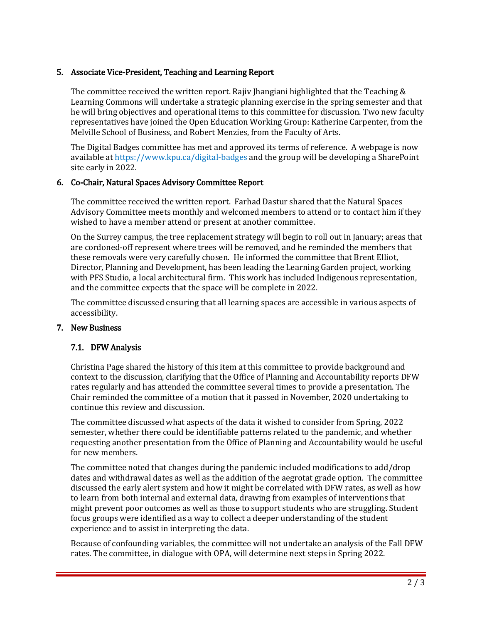### 5. Associate Vice-President, Teaching and Learning Report

The committee received the written report. Rajiv Jhangiani highlighted that the Teaching & Learning Commons will undertake a strategic planning exercise in the spring semester and that he will bring objectives and operational items to this committee for discussion. Two new faculty representatives have joined the Open Education Working Group: Katherine Carpenter, from the Melville School of Business, and Robert Menzies, from the Faculty of Arts.

The Digital Badges committee has met and approved its terms of reference. A webpage is now available at<https://www.kpu.ca/digital-badges> and the group will be developing a SharePoint site early in 2022.

### 6. Co-Chair, Natural Spaces Advisory Committee Report

The committee received the written report. Farhad Dastur shared that the Natural Spaces Advisory Committee meets monthly and welcomed members to attend or to contact him if they wished to have a member attend or present at another committee.

On the Surrey campus, the tree replacement strategy will begin to roll out in January; areas that are cordoned-off represent where trees will be removed, and he reminded the members that these removals were very carefully chosen. He informed the committee that Brent Elliot, Director, Planning and Development, has been leading the Learning Garden project, working with PFS Studio, a local architectural firm. This work has included Indigenous representation, and the committee expects that the space will be complete in 2022.

The committee discussed ensuring that all learning spaces are accessible in various aspects of accessibility.

### 7. New Business

### 7.1. DFW Analysis

Christina Page shared the history of this item at this committee to provide background and context to the discussion, clarifying that the Office of Planning and Accountability reports DFW rates regularly and has attended the committee several times to provide a presentation. The Chair reminded the committee of a motion that it passed in November, 2020 undertaking to continue this review and discussion.

The committee discussed what aspects of the data it wished to consider from Spring, 2022 semester, whether there could be identifiable patterns related to the pandemic, and whether requesting another presentation from the Office of Planning and Accountability would be useful for new members.

The committee noted that changes during the pandemic included modifications to add/drop dates and withdrawal dates as well as the addition of the aegrotat grade option. The committee discussed the early alert system and how it might be correlated with DFW rates, as well as how to learn from both internal and external data, drawing from examples of interventions that might prevent poor outcomes as well as those to support students who are struggling. Student focus groups were identified as a way to collect a deeper understanding of the student experience and to assist in interpreting the data.

Because of confounding variables, the committee will not undertake an analysis of the Fall DFW rates. The committee, in dialogue with OPA, will determine next steps in Spring 2022.